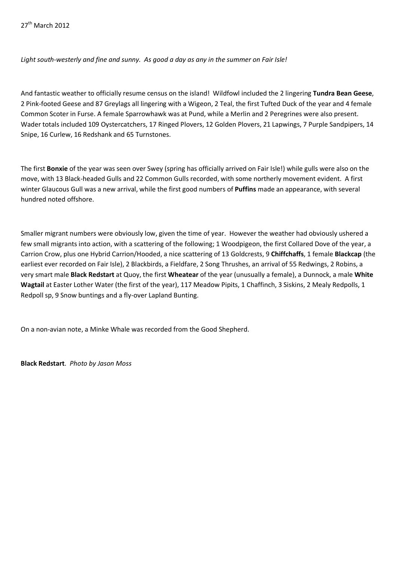*Light south-westerly and fine and sunny. As good a day as any in the summer on Fair Isle!*

And fantastic weather to officially resume census on the island! Wildfowl included the 2 lingering **Tundra Bean Geese**, 2 Pink-footed Geese and 87 Greylags all lingering with a Wigeon, 2 Teal, the first Tufted Duck of the year and 4 female Common Scoter in Furse. A female Sparrowhawk was at Pund, while a Merlin and 2 Peregrines were also present. Wader totals included 109 Oystercatchers, 17 Ringed Plovers, 12 Golden Plovers, 21 Lapwings, 7 Purple Sandpipers, 14 Snipe, 16 Curlew, 16 Redshank and 65 Turnstones.

The first **Bonxie** of the year was seen over Swey (spring has officially arrived on Fair Isle!) while gulls were also on the move, with 13 Black-headed Gulls and 22 Common Gulls recorded, with some northerly movement evident. A first winter Glaucous Gull was a new arrival, while the first good numbers of **Puffins** made an appearance, with several hundred noted offshore.

Smaller migrant numbers were obviously low, given the time of year. However the weather had obviously ushered a few small migrants into action, with a scattering of the following; 1 Woodpigeon, the first Collared Dove of the year, a Carrion Crow, plus one Hybrid Carrion/Hooded, a nice scattering of 13 Goldcrests, 9 **Chiffchaffs**, 1 female **Blackcap** (the earliest ever recorded on Fair Isle), 2 Blackbirds, a Fieldfare, 2 Song Thrushes, an arrival of 55 Redwings, 2 Robins, a very smart male **Black Redstart** at Quoy, the first **Wheatear** of the year (unusually a female), a Dunnock, a male **White Wagtail** at Easter Lother Water (the first of the year), 117 Meadow Pipits, 1 Chaffinch, 3 Siskins, 2 Mealy Redpolls, 1 Redpoll sp, 9 Snow buntings and a fly-over Lapland Bunting.

On a non-avian note, a Minke Whale was recorded from the Good Shepherd.

**Black Redstart**. *Photo by Jason Moss*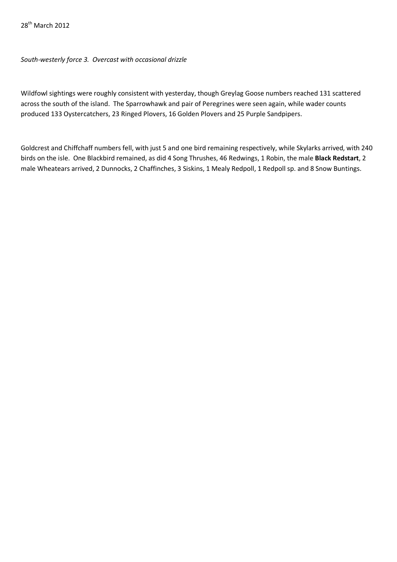## *South-westerly force 3. Overcast with occasional drizzle*

Wildfowl sightings were roughly consistent with yesterday, though Greylag Goose numbers reached 131 scattered across the south of the island. The Sparrowhawk and pair of Peregrines were seen again, while wader counts produced 133 Oystercatchers, 23 Ringed Plovers, 16 Golden Plovers and 25 Purple Sandpipers.

Goldcrest and Chiffchaff numbers fell, with just 5 and one bird remaining respectively, while Skylarks arrived, with 240 birds on the isle. One Blackbird remained, as did 4 Song Thrushes, 46 Redwings, 1 Robin, the male **Black Redstart**, 2 male Wheatears arrived, 2 Dunnocks, 2 Chaffinches, 3 Siskins, 1 Mealy Redpoll, 1 Redpoll sp. and 8 Snow Buntings.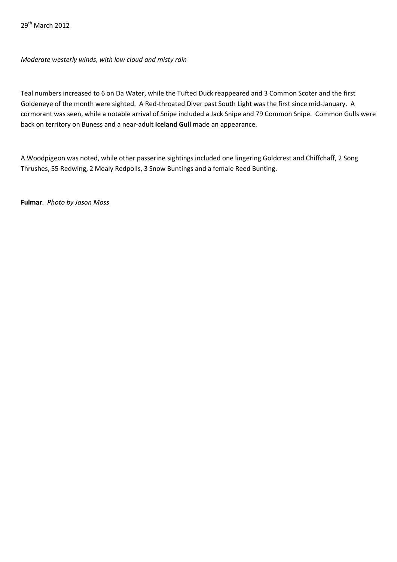*Moderate westerly winds, with low cloud and misty rain*

Teal numbers increased to 6 on Da Water, while the Tufted Duck reappeared and 3 Common Scoter and the first Goldeneye of the month were sighted. A Red-throated Diver past South Light was the first since mid-January. A cormorant was seen, while a notable arrival of Snipe included a Jack Snipe and 79 Common Snipe. Common Gulls were back on territory on Buness and a near-adult **Iceland Gull** made an appearance.

A Woodpigeon was noted, while other passerine sightings included one lingering Goldcrest and Chiffchaff, 2 Song Thrushes, 55 Redwing, 2 Mealy Redpolls, 3 Snow Buntings and a female Reed Bunting.

**Fulmar**. *Photo by Jason Moss*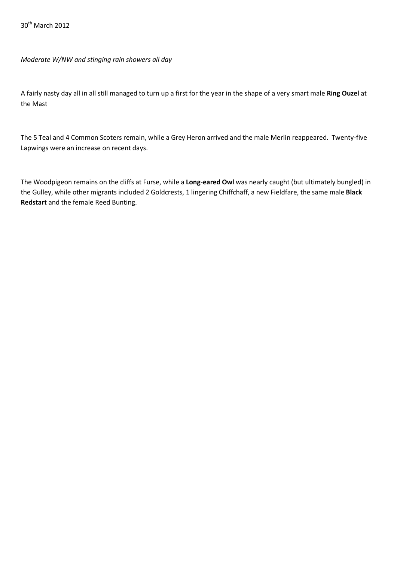30<sup>th</sup> March 2012

*Moderate W/NW and stinging rain showers all day*

A fairly nasty day all in all still managed to turn up a first for the year in the shape of a very smart male **Ring Ouzel** at the Mast

The 5 Teal and 4 Common Scoters remain, while a Grey Heron arrived and the male Merlin reappeared. Twenty-five Lapwings were an increase on recent days.

The Woodpigeon remains on the cliffs at Furse, while a **Long**-**eared Owl** was nearly caught (but ultimately bungled) in the Gulley, while other migrants included 2 Goldcrests, 1 lingering Chiffchaff, a new Fieldfare, the same male **Black Redstart** and the female Reed Bunting.